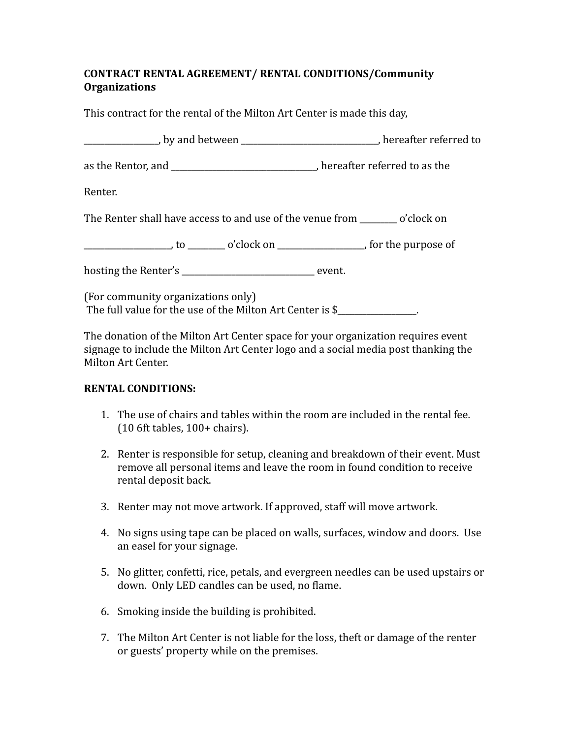## **CONTRACT RENTAL AGREEMENT/ RENTAL CONDITIONS/Community Organizations**

This contract for the rental of the Milton Art Center is made this day,

| _________________, by and between _______________________________, hereafter referred to |  |
|------------------------------------------------------------------------------------------|--|
| as the Rentor, and _______________________________, hereafter referred to as the         |  |
| Renter.                                                                                  |  |
| The Renter shall have access to and use of the venue from _________ o'clock on           |  |
|                                                                                          |  |
| hosting the Renter's _________________________________ event.                            |  |

(For community organizations only) The full value for the use of the Milton Art Center is  $$$ 

The donation of the Milton Art Center space for your organization requires event signage to include the Milton Art Center logo and a social media post thanking the Milton Art Center.

## **RENTAL CONDITIONS:**

- 1. The use of chairs and tables within the room are included in the rental fee. (10 6ft tables, 100+ chairs).
- 2. Renter is responsible for setup, cleaning and breakdown of their event. Must remove all personal items and leave the room in found condition to receive rental deposit back.
- 3. Renter may not move artwork. If approved, staff will move artwork.
- 4. No signs using tape can be placed on walls, surfaces, window and doors. Use an easel for your signage.
- 5. No glitter, confetti, rice, petals, and evergreen needles can be used upstairs or down. Only LED candles can be used, no flame.
- 6. Smoking inside the building is prohibited.
- 7. The Milton Art Center is not liable for the loss, theft or damage of the renter or guests' property while on the premises.